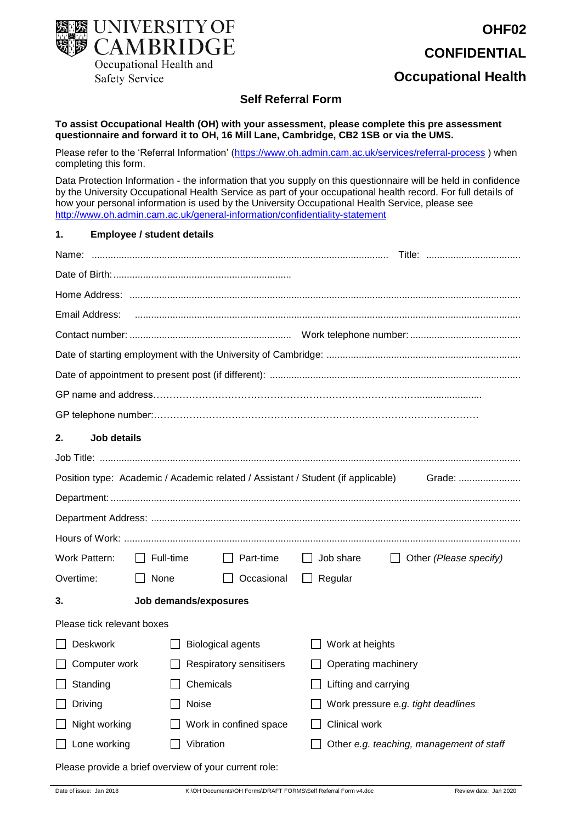

# **OHF02 CONFIDENTIAL**

## **Occupational Health**

### **Self Referral Form**

**To assist Occupational Health (OH) with your assessment, please complete this pre assessment questionnaire and forward it to OH, 16 Mill Lane, Cambridge, CB2 1SB or via the UMS.** 

Please refer to the 'Referral Information' [\(https://www.oh.admin.cam.ac.uk/services/referral-process](https://www.oh.admin.cam.ac.uk/services/referral-process)) when completing this form.

Data Protection Information - the information that you supply on this questionnaire will be held in confidence by the University Occupational Health Service as part of your occupational health record. For full details of how your personal information is used by the University Occupational Health Service, please see <http://www.oh.admin.cam.ac.uk/general-information/confidentiality-statement>

#### **1. Employee / student details**

| Email Address:                                                                             |                       |                                |                                          |                               |  |  |  |
|--------------------------------------------------------------------------------------------|-----------------------|--------------------------------|------------------------------------------|-------------------------------|--|--|--|
|                                                                                            |                       |                                |                                          |                               |  |  |  |
|                                                                                            |                       |                                |                                          |                               |  |  |  |
|                                                                                            |                       |                                |                                          |                               |  |  |  |
|                                                                                            |                       |                                |                                          |                               |  |  |  |
|                                                                                            |                       |                                |                                          |                               |  |  |  |
| 2.<br>Job details                                                                          |                       |                                |                                          |                               |  |  |  |
|                                                                                            |                       |                                |                                          |                               |  |  |  |
| Position type: Academic / Academic related / Assistant / Student (if applicable)<br>Grade: |                       |                                |                                          |                               |  |  |  |
|                                                                                            |                       |                                |                                          |                               |  |  |  |
|                                                                                            |                       |                                |                                          |                               |  |  |  |
|                                                                                            |                       |                                |                                          |                               |  |  |  |
| Work Pattern:                                                                              | $\Box$ Full-time      | $\Box$ Part-time               | $\Box$ Job share                         | $\Box$ Other (Please specify) |  |  |  |
| Overtime:                                                                                  | $\Box$ None           | □ Occasional                   | $\Box$ Regular                           |                               |  |  |  |
| 3.                                                                                         | Job demands/exposures |                                |                                          |                               |  |  |  |
| Please tick relevant boxes                                                                 |                       |                                |                                          |                               |  |  |  |
| Deskwork                                                                                   |                       | <b>Biological agents</b>       | $\Box$ Work at heights                   |                               |  |  |  |
| Computer work                                                                              |                       | <b>Respiratory sensitisers</b> | $\Box$ Operating machinery               |                               |  |  |  |
| Standing                                                                                   | Chemicals             |                                | $\Box$ Lifting and carrying              |                               |  |  |  |
| Driving                                                                                    | Noise                 |                                | Work pressure e.g. tight deadlines       |                               |  |  |  |
| Night working                                                                              |                       | Work in confined space         | Clinical work                            |                               |  |  |  |
| Lone working                                                                               | Vibration             |                                | Other e.g. teaching, management of staff |                               |  |  |  |

Please provide a brief overview of your current role: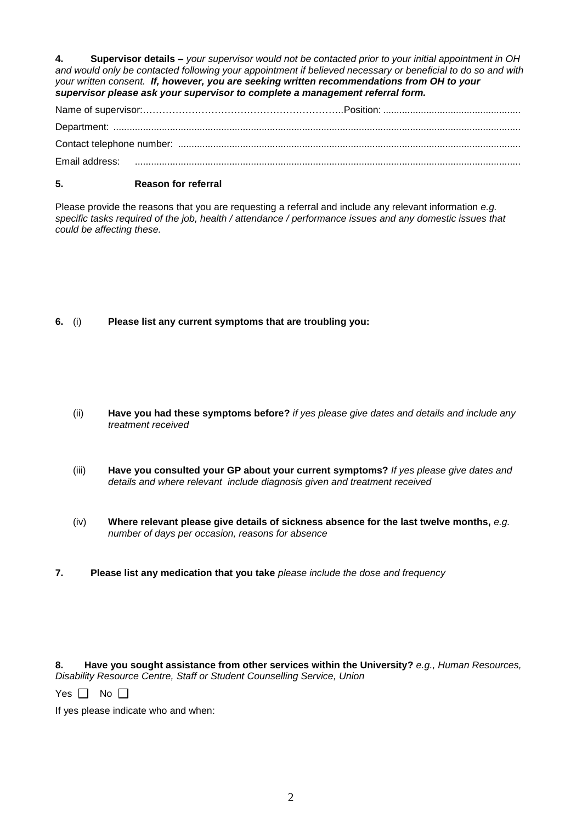**4. Supervisor details –** *your supervisor would not be contacted prior to your initial appointment in OH and would only be contacted following your appointment if believed necessary or beneficial to do so and with your written consent. If, however, you are seeking written recommendations from OH to your supervisor please ask your supervisor to complete a management referral form.*

#### **5. Reason for referral**

Please provide the reasons that you are requesting a referral and include any relevant information *e.g. specific tasks required of the job, health / attendance / performance issues and any domestic issues that could be affecting these.* 

**6.** (i) **Please list any current symptoms that are troubling you:**

- (ii) **Have you had these symptoms before?** *if yes please give dates and details and include any treatment received*
- (iii) **Have you consulted your GP about your current symptoms?** *If yes please give dates and details and where relevant include diagnosis given and treatment received*
- (iv) **Where relevant please give details of sickness absence for the last twelve months,** *e.g. number of days per occasion, reasons for absence*
- **7. Please list any medication that you take** *please include the dose and frequency*

**8. Have you sought assistance from other services within the University?** *e.g., Human Resources, Disability Resource Centre, Staff or Student Counselling Service, Union*

Yes  $\Box$  No  $\Box$ 

If yes please indicate who and when: